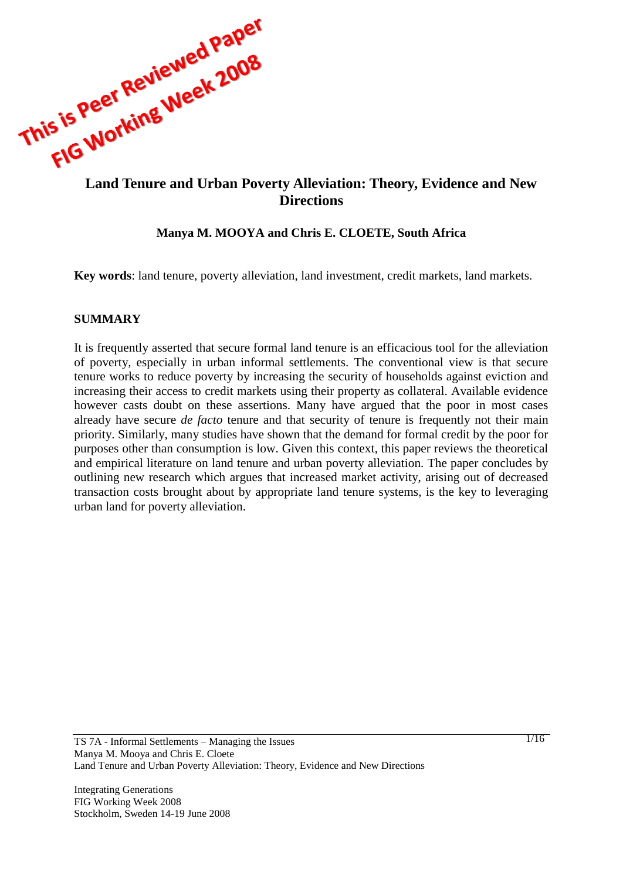

# **Directions**

#### **Manya M. MOOYA and Chris E. CLOETE, South Africa**

**Key words**: land tenure, poverty alleviation, land investment, credit markets, land markets.

#### **SUMMARY**

It is frequently asserted that secure formal land tenure is an efficacious tool for the alleviation of poverty, especially in urban informal settlements. The conventional view is that secure tenure works to reduce poverty by increasing the security of households against eviction and increasing their access to credit markets using their property as collateral. Available evidence however casts doubt on these assertions. Many have argued that the poor in most cases already have secure *de facto* tenure and that security of tenure is frequently not their main priority. Similarly, many studies have shown that the demand for formal credit by the poor for purposes other than consumption is low. Given this context, this paper reviews the theoretical and empirical literature on land tenure and urban poverty alleviation. The paper concludes by outlining new research which argues that increased market activity, arising out of decreased transaction costs brought about by appropriate land tenure systems, is the key to leveraging urban land for poverty alleviation.

Integrating Generations FIG Working Week 2008 Stockholm, Sweden 14-19 June 2008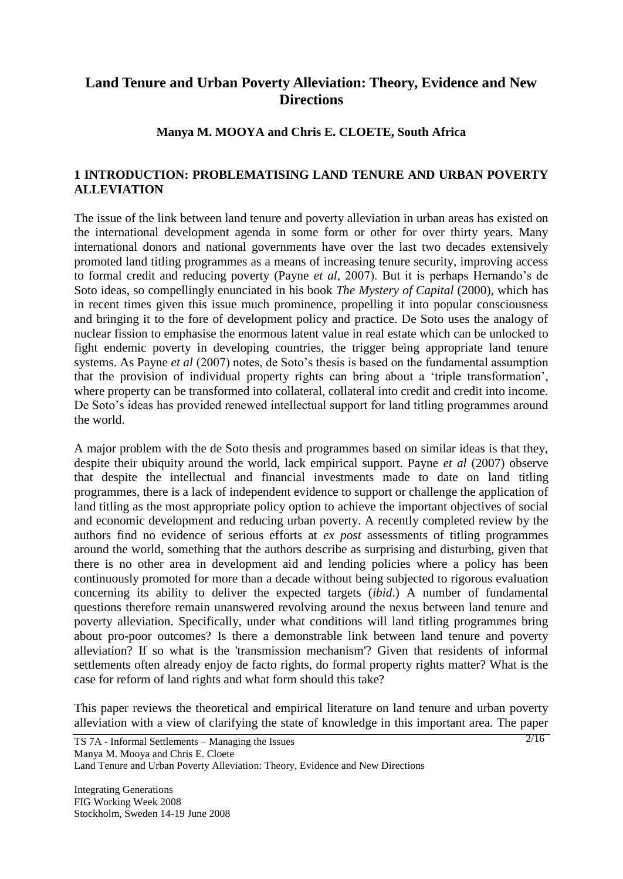# **Land Tenure and Urban Poverty Alleviation: Theory, Evidence and New Directions**

#### **Manya M. MOOYA and Chris E. CLOETE, South Africa**

### **1 INTRODUCTION: PROBLEMATISING LAND TENURE AND URBAN POVERTY ALLEVIATION**

The issue of the link between land tenure and poverty alleviation in urban areas has existed on the international development agenda in some form or other for over thirty years. Many international donors and national governments have over the last two decades extensively promoted land titling programmes as a means of increasing tenure security, improving access to formal credit and reducing poverty (Payne *et al*, 2007). But it is perhaps Hernando's de Soto ideas, so compellingly enunciated in his book *The Mystery of Capital* (2000), which has in recent times given this issue much prominence, propelling it into popular consciousness and bringing it to the fore of development policy and practice. De Soto uses the analogy of nuclear fission to emphasise the enormous latent value in real estate which can be unlocked to fight endemic poverty in developing countries, the trigger being appropriate land tenure systems. As Payne *et al* (2007) notes, de Soto's thesis is based on the fundamental assumption that the provision of individual property rights can bring about a "triple transformation", where property can be transformed into collateral, collateral into credit and credit into income. De Soto's ideas has provided renewed intellectual support for land titling programmes around the world.

A major problem with the de Soto thesis and programmes based on similar ideas is that they, despite their ubiquity around the world, lack empirical support. Payne *et al* (2007) observe that despite the intellectual and financial investments made to date on land titling programmes, there is a lack of independent evidence to support or challenge the application of land titling as the most appropriate policy option to achieve the important objectives of social and economic development and reducing urban poverty. A recently completed review by the authors find no evidence of serious efforts at *ex post* assessments of titling programmes around the world, something that the authors describe as surprising and disturbing, given that there is no other area in development aid and lending policies where a policy has been continuously promoted for more than a decade without being subjected to rigorous evaluation concerning its ability to deliver the expected targets (*ibid*.) A number of fundamental questions therefore remain unanswered revolving around the nexus between land tenure and poverty alleviation. Specifically, under what conditions will land titling programmes bring about pro-poor outcomes? Is there a demonstrable link between land tenure and poverty alleviation? If so what is the 'transmission mechanism'? Given that residents of informal settlements often already enjoy de facto rights, do formal property rights matter? What is the case for reform of land rights and what form should this take?

This paper reviews the theoretical and empirical literature on land tenure and urban poverty alleviation with a view of clarifying the state of knowledge in this important area. The paper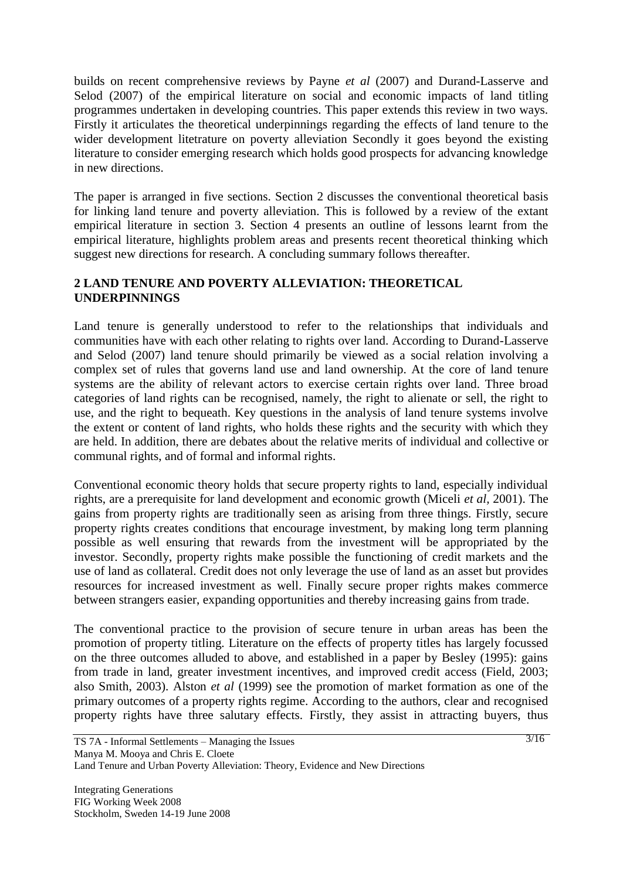builds on recent comprehensive reviews by Payne *et al* (2007) and Durand-Lasserve and Selod (2007) of the empirical literature on social and economic impacts of land titling programmes undertaken in developing countries. This paper extends this review in two ways. Firstly it articulates the theoretical underpinnings regarding the effects of land tenure to the wider development litetrature on poverty alleviation Secondly it goes beyond the existing literature to consider emerging research which holds good prospects for advancing knowledge in new directions.

The paper is arranged in five sections. Section 2 discusses the conventional theoretical basis for linking land tenure and poverty alleviation. This is followed by a review of the extant empirical literature in section 3. Section 4 presents an outline of lessons learnt from the empirical literature, highlights problem areas and presents recent theoretical thinking which suggest new directions for research. A concluding summary follows thereafter.

## **2 LAND TENURE AND POVERTY ALLEVIATION: THEORETICAL UNDERPINNINGS**

Land tenure is generally understood to refer to the relationships that individuals and communities have with each other relating to rights over land. According to Durand-Lasserve and Selod (2007) land tenure should primarily be viewed as a social relation involving a complex set of rules that governs land use and land ownership. At the core of land tenure systems are the ability of relevant actors to exercise certain rights over land. Three broad categories of land rights can be recognised, namely, the right to alienate or sell, the right to use, and the right to bequeath. Key questions in the analysis of land tenure systems involve the extent or content of land rights, who holds these rights and the security with which they are held. In addition, there are debates about the relative merits of individual and collective or communal rights, and of formal and informal rights.

Conventional economic theory holds that secure property rights to land, especially individual rights, are a prerequisite for land development and economic growth (Miceli *et al,* 2001). The gains from property rights are traditionally seen as arising from three things. Firstly, secure property rights creates conditions that encourage investment, by making long term planning possible as well ensuring that rewards from the investment will be appropriated by the investor. Secondly, property rights make possible the functioning of credit markets and the use of land as collateral. Credit does not only leverage the use of land as an asset but provides resources for increased investment as well. Finally secure proper rights makes commerce between strangers easier, expanding opportunities and thereby increasing gains from trade.

The conventional practice to the provision of secure tenure in urban areas has been the promotion of property titling. Literature on the effects of property titles has largely focussed on the three outcomes alluded to above, and established in a paper by Besley (1995): gains from trade in land, greater investment incentives, and improved credit access (Field, 2003; also Smith, 2003). Alston *et al* (1999) see the promotion of market formation as one of the primary outcomes of a property rights regime. According to the authors, clear and recognised property rights have three salutary effects. Firstly, they assist in attracting buyers, thus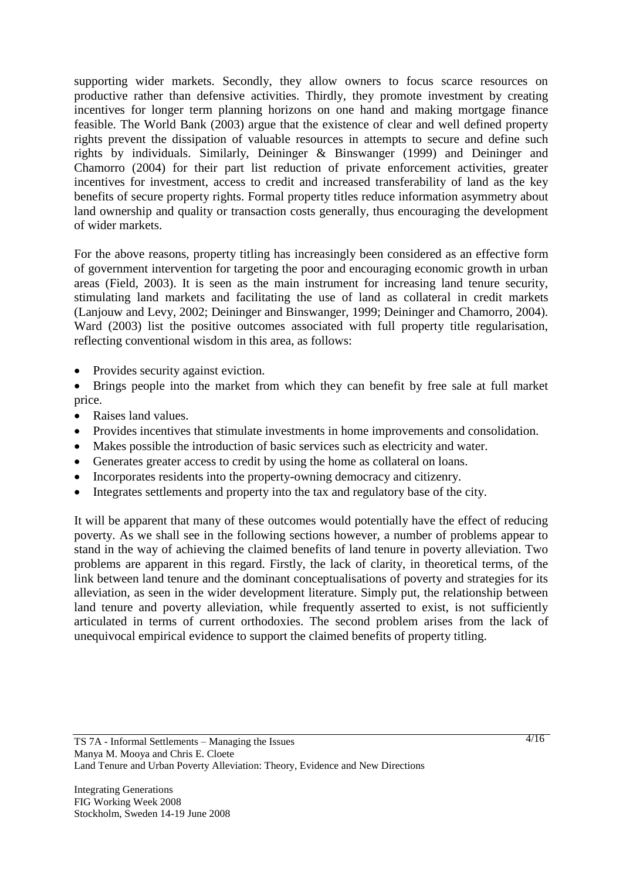supporting wider markets. Secondly, they allow owners to focus scarce resources on productive rather than defensive activities. Thirdly, they promote investment by creating incentives for longer term planning horizons on one hand and making mortgage finance feasible. The World Bank (2003) argue that the existence of clear and well defined property rights prevent the dissipation of valuable resources in attempts to secure and define such rights by individuals. Similarly, Deininger & Binswanger (1999) and Deininger and Chamorro (2004) for their part list reduction of private enforcement activities, greater incentives for investment, access to credit and increased transferability of land as the key benefits of secure property rights. Formal property titles reduce information asymmetry about land ownership and quality or transaction costs generally, thus encouraging the development of wider markets.

For the above reasons, property titling has increasingly been considered as an effective form of government intervention for targeting the poor and encouraging economic growth in urban areas (Field, 2003). It is seen as the main instrument for increasing land tenure security, stimulating land markets and facilitating the use of land as collateral in credit markets (Lanjouw and Levy, 2002; Deininger and Binswanger, 1999; Deininger and Chamorro, 2004). Ward (2003) list the positive outcomes associated with full property title regularisation, reflecting conventional wisdom in this area, as follows:

- Provides security against eviction.
- Brings people into the market from which they can benefit by free sale at full market price.
- Raises land values.
- Provides incentives that stimulate investments in home improvements and consolidation.
- Makes possible the introduction of basic services such as electricity and water.
- Generates greater access to credit by using the home as collateral on loans.
- Incorporates residents into the property-owning democracy and citizenry.
- Integrates settlements and property into the tax and regulatory base of the city.

It will be apparent that many of these outcomes would potentially have the effect of reducing poverty. As we shall see in the following sections however, a number of problems appear to stand in the way of achieving the claimed benefits of land tenure in poverty alleviation. Two problems are apparent in this regard. Firstly, the lack of clarity, in theoretical terms, of the link between land tenure and the dominant conceptualisations of poverty and strategies for its alleviation, as seen in the wider development literature. Simply put, the relationship between land tenure and poverty alleviation, while frequently asserted to exist, is not sufficiently articulated in terms of current orthodoxies. The second problem arises from the lack of unequivocal empirical evidence to support the claimed benefits of property titling.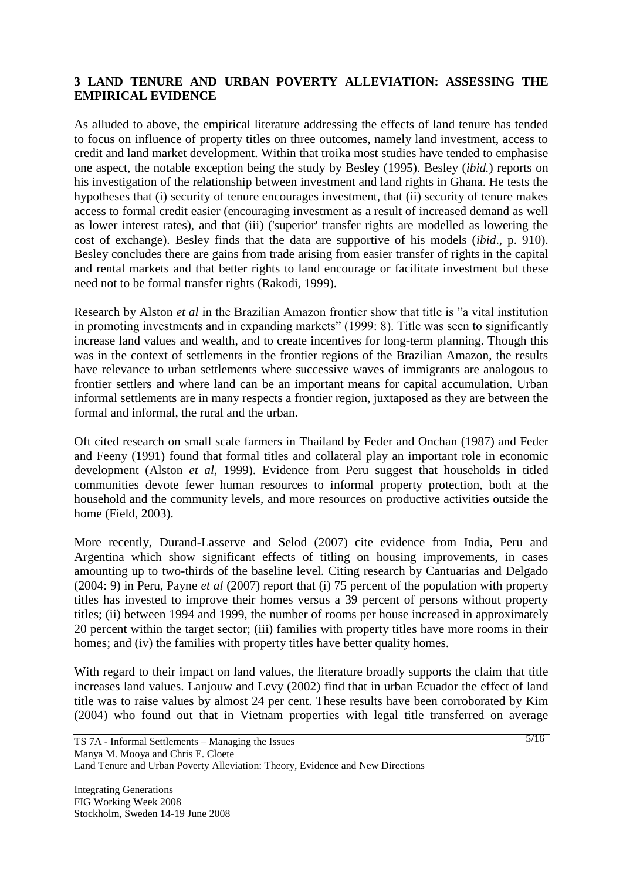#### **3 LAND TENURE AND URBAN POVERTY ALLEVIATION: ASSESSING THE EMPIRICAL EVIDENCE**

As alluded to above, the empirical literature addressing the effects of land tenure has tended to focus on influence of property titles on three outcomes, namely land investment, access to credit and land market development. Within that troika most studies have tended to emphasise one aspect, the notable exception being the study by Besley (1995). Besley (*ibid.*) reports on his investigation of the relationship between investment and land rights in Ghana. He tests the hypotheses that (i) security of tenure encourages investment, that (ii) security of tenure makes access to formal credit easier (encouraging investment as a result of increased demand as well as lower interest rates), and that (iii) ('superior' transfer rights are modelled as lowering the cost of exchange). Besley finds that the data are supportive of his models (*ibid*., p. 910). Besley concludes there are gains from trade arising from easier transfer of rights in the capital and rental markets and that better rights to land encourage or facilitate investment but these need not to be formal transfer rights (Rakodi, 1999).

Research by Alston *et al* in the Brazilian Amazon frontier show that title is "a vital institution in promoting investments and in expanding markets" (1999: 8). Title was seen to significantly increase land values and wealth, and to create incentives for long-term planning. Though this was in the context of settlements in the frontier regions of the Brazilian Amazon, the results have relevance to urban settlements where successive waves of immigrants are analogous to frontier settlers and where land can be an important means for capital accumulation. Urban informal settlements are in many respects a frontier region, juxtaposed as they are between the formal and informal, the rural and the urban.

Oft cited research on small scale farmers in Thailand by Feder and Onchan (1987) and Feder and Feeny (1991) found that formal titles and collateral play an important role in economic development (Alston *et al*, 1999). Evidence from Peru suggest that households in titled communities devote fewer human resources to informal property protection, both at the household and the community levels, and more resources on productive activities outside the home (Field, 2003).

More recently, Durand-Lasserve and Selod (2007) cite evidence from India, Peru and Argentina which show significant effects of titling on housing improvements, in cases amounting up to two-thirds of the baseline level. Citing research by Cantuarias and Delgado (2004: 9) in Peru, Payne *et al* (2007) report that (i) 75 percent of the population with property titles has invested to improve their homes versus a 39 percent of persons without property titles; (ii) between 1994 and 1999, the number of rooms per house increased in approximately 20 percent within the target sector; (iii) families with property titles have more rooms in their homes; and (iv) the families with property titles have better quality homes.

With regard to their impact on land values, the literature broadly supports the claim that title increases land values. Lanjouw and Levy (2002) find that in urban Ecuador the effect of land title was to raise values by almost 24 per cent. These results have been corroborated by Kim (2004) who found out that in Vietnam properties with legal title transferred on average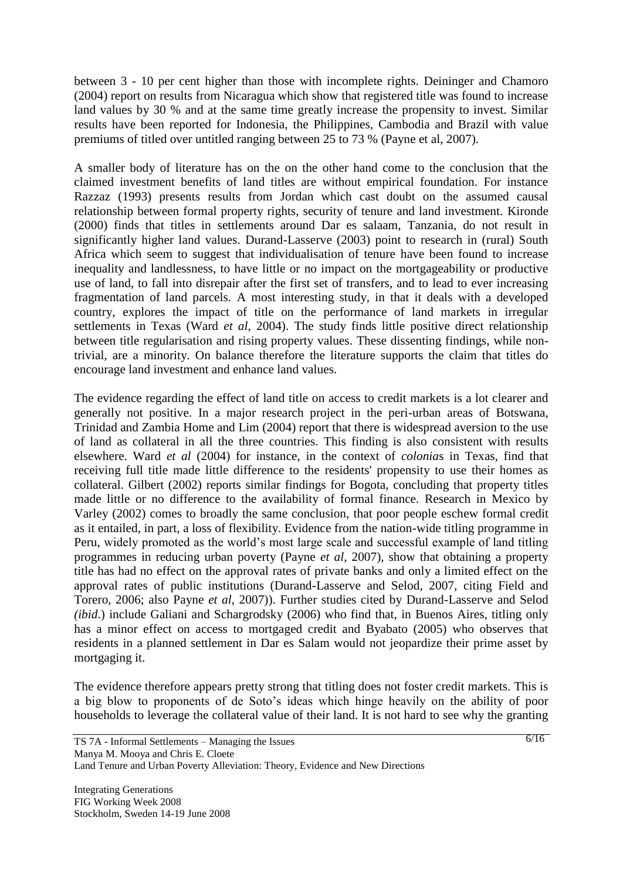between 3 - 10 per cent higher than those with incomplete rights. Deininger and Chamoro (2004) report on results from Nicaragua which show that registered title was found to increase land values by 30 % and at the same time greatly increase the propensity to invest. Similar results have been reported for Indonesia, the Philippines, Cambodia and Brazil with value premiums of titled over untitled ranging between 25 to 73 % (Payne et al, 2007).

A smaller body of literature has on the on the other hand come to the conclusion that the claimed investment benefits of land titles are without empirical foundation. For instance Razzaz (1993) presents results from Jordan which cast doubt on the assumed causal relationship between formal property rights, security of tenure and land investment. Kironde (2000) finds that titles in settlements around Dar es salaam, Tanzania, do not result in significantly higher land values. Durand-Lasserve (2003) point to research in (rural) South Africa which seem to suggest that individualisation of tenure have been found to increase inequality and landlessness, to have little or no impact on the mortgageability or productive use of land, to fall into disrepair after the first set of transfers, and to lead to ever increasing fragmentation of land parcels. A most interesting study, in that it deals with a developed country, explores the impact of title on the performance of land markets in irregular settlements in Texas (Ward *et al*, 2004). The study finds little positive direct relationship between title regularisation and rising property values. These dissenting findings, while nontrivial, are a minority. On balance therefore the literature supports the claim that titles do encourage land investment and enhance land values.

The evidence regarding the effect of land title on access to credit markets is a lot clearer and generally not positive. In a major research project in the peri-urban areas of Botswana, Trinidad and Zambia Home and Lim (2004) report that there is widespread aversion to the use of land as collateral in all the three countries. This finding is also consistent with results elsewhere. Ward *et al* (2004) for instance, in the context of *colonia*s in Texas, find that receiving full title made little difference to the residents' propensity to use their homes as collateral. Gilbert (2002) reports similar findings for Bogota, concluding that property titles made little or no difference to the availability of formal finance. Research in Mexico by Varley (2002) comes to broadly the same conclusion, that poor people eschew formal credit as it entailed, in part, a loss of flexibility. Evidence from the nation-wide titling programme in Peru, widely promoted as the world"s most large scale and successful example of land titling programmes in reducing urban poverty (Payne *et al,* 2007), show that obtaining a property title has had no effect on the approval rates of private banks and only a limited effect on the approval rates of public institutions (Durand-Lasserve and Selod, 2007, citing Field and Torero, 2006; also Payne *et al*, 2007)). Further studies cited by Durand-Lasserve and Selod *(ibid*.) include Galiani and Schargrodsky (2006) who find that, in Buenos Aires, titling only has a minor effect on access to mortgaged credit and Byabato (2005) who observes that residents in a planned settlement in Dar es Salam would not jeopardize their prime asset by mortgaging it.

The evidence therefore appears pretty strong that titling does not foster credit markets. This is a big blow to proponents of de Soto"s ideas which hinge heavily on the ability of poor households to leverage the collateral value of their land. It is not hard to see why the granting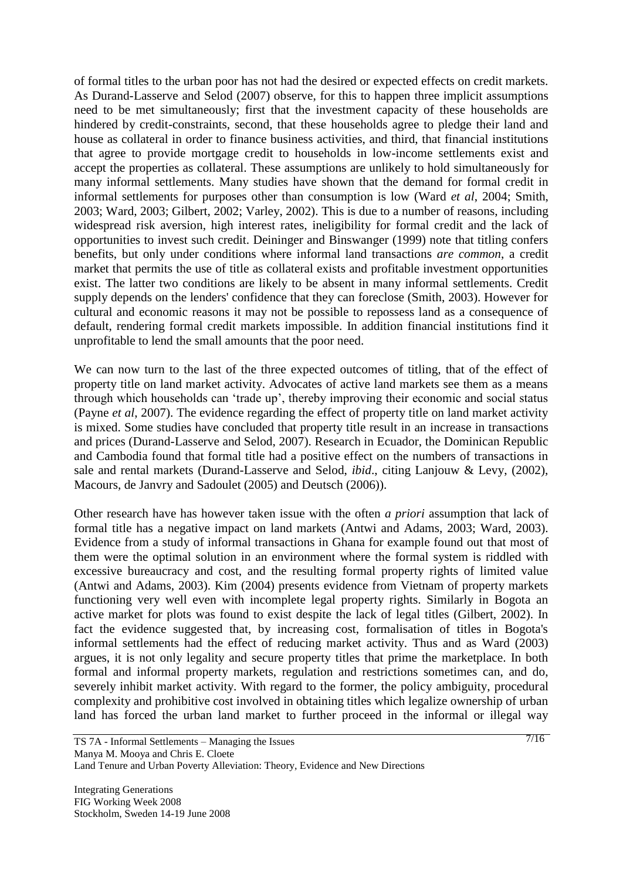of formal titles to the urban poor has not had the desired or expected effects on credit markets. As Durand-Lasserve and Selod (2007) observe, for this to happen three implicit assumptions need to be met simultaneously; first that the investment capacity of these households are hindered by credit-constraints, second, that these households agree to pledge their land and house as collateral in order to finance business activities, and third, that financial institutions that agree to provide mortgage credit to households in low-income settlements exist and accept the properties as collateral. These assumptions are unlikely to hold simultaneously for many informal settlements. Many studies have shown that the demand for formal credit in informal settlements for purposes other than consumption is low (Ward *et al*, 2004; Smith, 2003; Ward, 2003; Gilbert, 2002; Varley, 2002). This is due to a number of reasons, including widespread risk aversion, high interest rates, ineligibility for formal credit and the lack of opportunities to invest such credit. Deininger and Binswanger (1999) note that titling confers benefits, but only under conditions where informal land transactions *are common*, a credit market that permits the use of title as collateral exists and profitable investment opportunities exist. The latter two conditions are likely to be absent in many informal settlements. Credit supply depends on the lenders' confidence that they can foreclose (Smith, 2003). However for cultural and economic reasons it may not be possible to repossess land as a consequence of default, rendering formal credit markets impossible. In addition financial institutions find it unprofitable to lend the small amounts that the poor need.

We can now turn to the last of the three expected outcomes of titling, that of the effect of property title on land market activity. Advocates of active land markets see them as a means through which households can "trade up", thereby improving their economic and social status (Payne *et al*, 2007). The evidence regarding the effect of property title on land market activity is mixed. Some studies have concluded that property title result in an increase in transactions and prices (Durand-Lasserve and Selod, 2007). Research in Ecuador, the Dominican Republic and Cambodia found that formal title had a positive effect on the numbers of transactions in sale and rental markets (Durand-Lasserve and Selod, *ibid*., citing Lanjouw & Levy, (2002), Macours, de Janvry and Sadoulet (2005) and Deutsch (2006)).

Other research have has however taken issue with the often *a priori* assumption that lack of formal title has a negative impact on land markets (Antwi and Adams, 2003; Ward, 2003). Evidence from a study of informal transactions in Ghana for example found out that most of them were the optimal solution in an environment where the formal system is riddled with excessive bureaucracy and cost, and the resulting formal property rights of limited value (Antwi and Adams, 2003). Kim (2004) presents evidence from Vietnam of property markets functioning very well even with incomplete legal property rights. Similarly in Bogota an active market for plots was found to exist despite the lack of legal titles (Gilbert, 2002). In fact the evidence suggested that, by increasing cost, formalisation of titles in Bogota's informal settlements had the effect of reducing market activity. Thus and as Ward (2003) argues, it is not only legality and secure property titles that prime the marketplace. In both formal and informal property markets, regulation and restrictions sometimes can, and do, severely inhibit market activity. With regard to the former, the policy ambiguity, procedural complexity and prohibitive cost involved in obtaining titles which legalize ownership of urban land has forced the urban land market to further proceed in the informal or illegal way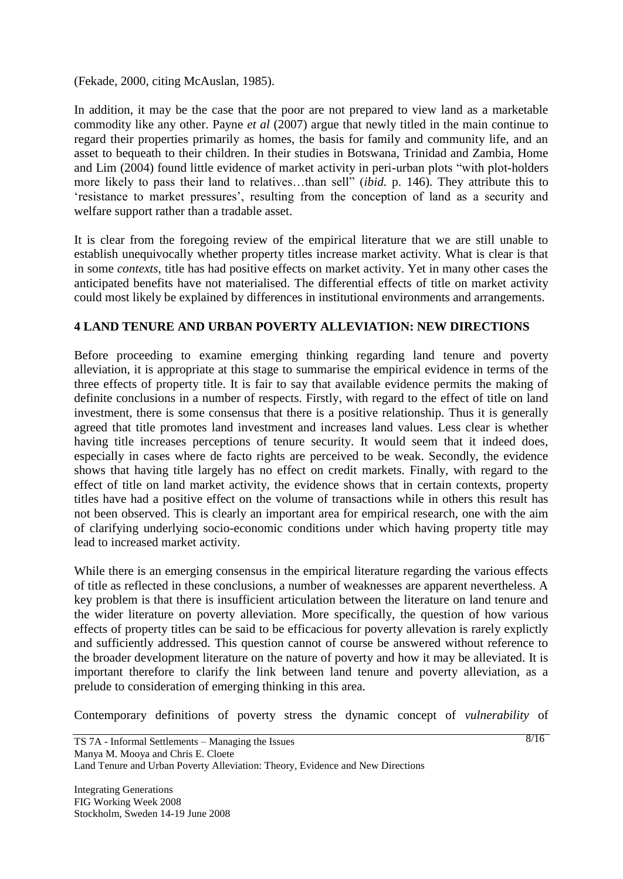(Fekade, 2000, citing McAuslan, 1985).

In addition, it may be the case that the poor are not prepared to view land as a marketable commodity like any other. Payne *et al* (2007) argue that newly titled in the main continue to regard their properties primarily as homes, the basis for family and community life, and an asset to bequeath to their children. In their studies in Botswana, Trinidad and Zambia, Home and Lim (2004) found little evidence of market activity in peri-urban plots "with plot-holders more likely to pass their land to relatives…than sell" (*ibid.* p. 146). They attribute this to "resistance to market pressures", resulting from the conception of land as a security and welfare support rather than a tradable asset.

It is clear from the foregoing review of the empirical literature that we are still unable to establish unequivocally whether property titles increase market activity. What is clear is that in some *contexts*, title has had positive effects on market activity. Yet in many other cases the anticipated benefits have not materialised. The differential effects of title on market activity could most likely be explained by differences in institutional environments and arrangements.

### **4 LAND TENURE AND URBAN POVERTY ALLEVIATION: NEW DIRECTIONS**

Before proceeding to examine emerging thinking regarding land tenure and poverty alleviation, it is appropriate at this stage to summarise the empirical evidence in terms of the three effects of property title. It is fair to say that available evidence permits the making of definite conclusions in a number of respects. Firstly, with regard to the effect of title on land investment, there is some consensus that there is a positive relationship. Thus it is generally agreed that title promotes land investment and increases land values. Less clear is whether having title increases perceptions of tenure security. It would seem that it indeed does, especially in cases where de facto rights are perceived to be weak. Secondly, the evidence shows that having title largely has no effect on credit markets. Finally, with regard to the effect of title on land market activity, the evidence shows that in certain contexts, property titles have had a positive effect on the volume of transactions while in others this result has not been observed. This is clearly an important area for empirical research, one with the aim of clarifying underlying socio-economic conditions under which having property title may lead to increased market activity.

While there is an emerging consensus in the empirical literature regarding the various effects of title as reflected in these conclusions, a number of weaknesses are apparent nevertheless. A key problem is that there is insufficient articulation between the literature on land tenure and the wider literature on poverty alleviation. More specifically, the question of how various effects of property titles can be said to be efficacious for poverty allevation is rarely explictly and sufficiently addressed. This question cannot of course be answered without reference to the broader development literature on the nature of poverty and how it may be alleviated. It is important therefore to clarify the link between land tenure and poverty alleviation, as a prelude to consideration of emerging thinking in this area.

Contemporary definitions of poverty stress the dynamic concept of *vulnerability* of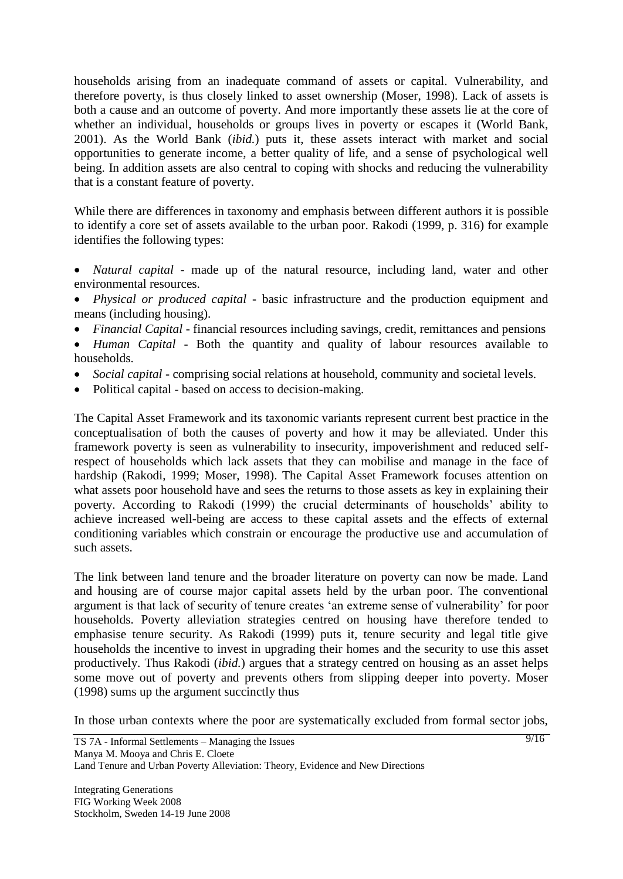households arising from an inadequate command of assets or capital. Vulnerability, and therefore poverty, is thus closely linked to asset ownership (Moser, 1998). Lack of assets is both a cause and an outcome of poverty. And more importantly these assets lie at the core of whether an individual, households or groups lives in poverty or escapes it (World Bank, 2001). As the World Bank (*ibid.*) puts it, these assets interact with market and social opportunities to generate income, a better quality of life, and a sense of psychological well being. In addition assets are also central to coping with shocks and reducing the vulnerability that is a constant feature of poverty.

While there are differences in taxonomy and emphasis between different authors it is possible to identify a core set of assets available to the urban poor. Rakodi (1999, p. 316) for example identifies the following types:

- *Natural capital* made up of the natural resource, including land, water and other environmental resources.
- *Physical or produced capital* basic infrastructure and the production equipment and means (including housing).
- *Financial Capital* financial resources including savings, credit, remittances and pensions
- *Human Capital* Both the quantity and quality of labour resources available to households.
- *Social capital* comprising social relations at household, community and societal levels.
- Political capital based on access to decision-making.

The Capital Asset Framework and its taxonomic variants represent current best practice in the conceptualisation of both the causes of poverty and how it may be alleviated. Under this framework poverty is seen as vulnerability to insecurity, impoverishment and reduced selfrespect of households which lack assets that they can mobilise and manage in the face of hardship (Rakodi, 1999; Moser, 1998). The Capital Asset Framework focuses attention on what assets poor household have and sees the returns to those assets as key in explaining their poverty. According to Rakodi (1999) the crucial determinants of households" ability to achieve increased well-being are access to these capital assets and the effects of external conditioning variables which constrain or encourage the productive use and accumulation of such assets.

The link between land tenure and the broader literature on poverty can now be made. Land and housing are of course major capital assets held by the urban poor. The conventional argument is that lack of security of tenure creates "an extreme sense of vulnerability" for poor households. Poverty alleviation strategies centred on housing have therefore tended to emphasise tenure security. As Rakodi (1999) puts it, tenure security and legal title give households the incentive to invest in upgrading their homes and the security to use this asset productively. Thus Rakodi (*ibid.*) argues that a strategy centred on housing as an asset helps some move out of poverty and prevents others from slipping deeper into poverty. Moser (1998) sums up the argument succinctly thus

In those urban contexts where the poor are systematically excluded from formal sector jobs,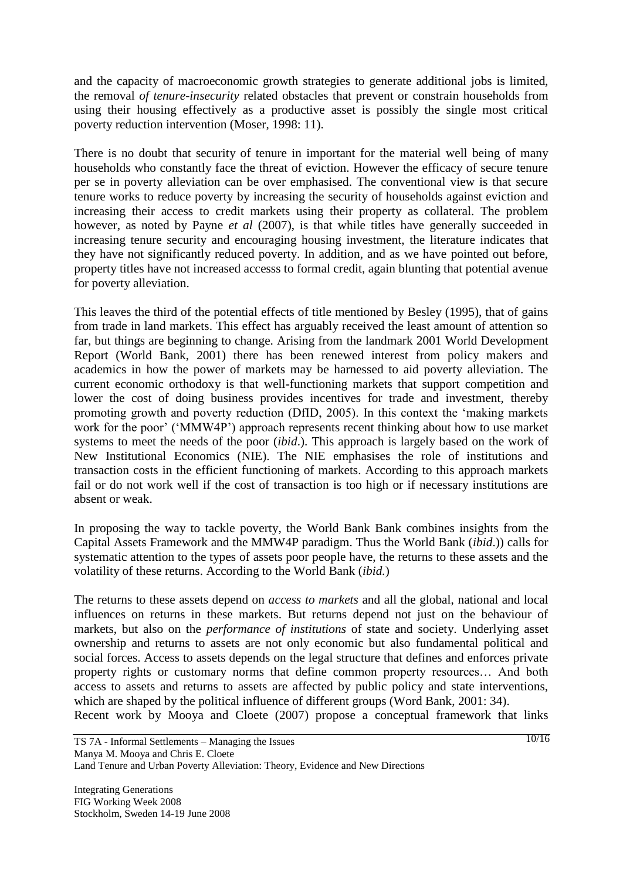and the capacity of macroeconomic growth strategies to generate additional jobs is limited, the removal *of tenure-insecurity* related obstacles that prevent or constrain households from using their housing effectively as a productive asset is possibly the single most critical poverty reduction intervention (Moser, 1998: 11).

There is no doubt that security of tenure in important for the material well being of many households who constantly face the threat of eviction. However the efficacy of secure tenure per se in poverty alleviation can be over emphasised. The conventional view is that secure tenure works to reduce poverty by increasing the security of households against eviction and increasing their access to credit markets using their property as collateral. The problem however, as noted by Payne *et al* (2007), is that while titles have generally succeeded in increasing tenure security and encouraging housing investment, the literature indicates that they have not significantly reduced poverty. In addition, and as we have pointed out before, property titles have not increased accesss to formal credit, again blunting that potential avenue for poverty alleviation.

This leaves the third of the potential effects of title mentioned by Besley (1995), that of gains from trade in land markets. This effect has arguably received the least amount of attention so far, but things are beginning to change. Arising from the landmark 2001 World Development Report (World Bank, 2001) there has been renewed interest from policy makers and academics in how the power of markets may be harnessed to aid poverty alleviation. The current economic orthodoxy is that well-functioning markets that support competition and lower the cost of doing business provides incentives for trade and investment, thereby promoting growth and poverty reduction (DfID, 2005). In this context the "making markets work for the poor' ('MMW4P') approach represents recent thinking about how to use market systems to meet the needs of the poor (*ibid*.). This approach is largely based on the work of New Institutional Economics (NIE). The NIE emphasises the role of institutions and transaction costs in the efficient functioning of markets. According to this approach markets fail or do not work well if the cost of transaction is too high or if necessary institutions are absent or weak.

In proposing the way to tackle poverty, the World Bank Bank combines insights from the Capital Assets Framework and the MMW4P paradigm. Thus the World Bank (*ibid*.)) calls for systematic attention to the types of assets poor people have, the returns to these assets and the volatility of these returns. According to the World Bank (*ibid.*)

The returns to these assets depend on *access to markets* and all the global, national and local influences on returns in these markets. But returns depend not just on the behaviour of markets, but also on the *performance of institutions* of state and society. Underlying asset ownership and returns to assets are not only economic but also fundamental political and social forces. Access to assets depends on the legal structure that defines and enforces private property rights or customary norms that define common property resources… And both access to assets and returns to assets are affected by public policy and state interventions, which are shaped by the political influence of different groups (Word Bank, 2001: 34).

Recent work by Mooya and Cloete (2007) propose a conceptual framework that links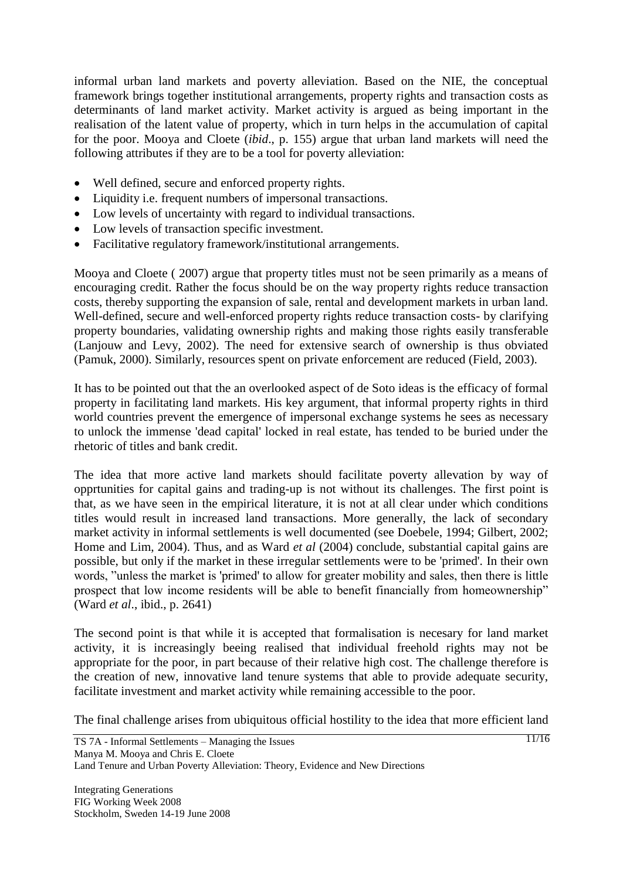informal urban land markets and poverty alleviation. Based on the NIE, the conceptual framework brings together institutional arrangements, property rights and transaction costs as determinants of land market activity. Market activity is argued as being important in the realisation of the latent value of property, which in turn helps in the accumulation of capital for the poor. Mooya and Cloete (*ibid*., p. 155) argue that urban land markets will need the following attributes if they are to be a tool for poverty alleviation:

- Well defined, secure and enforced property rights.
- Liquidity i.e. frequent numbers of impersonal transactions.
- Low levels of uncertainty with regard to individual transactions.
- Low levels of transaction specific investment.
- Facilitative regulatory framework/institutional arrangements.

Mooya and Cloete ( 2007) argue that property titles must not be seen primarily as a means of encouraging credit. Rather the focus should be on the way property rights reduce transaction costs, thereby supporting the expansion of sale, rental and development markets in urban land. Well-defined, secure and well-enforced property rights reduce transaction costs- by clarifying property boundaries, validating ownership rights and making those rights easily transferable (Lanjouw and Levy, 2002). The need for extensive search of ownership is thus obviated (Pamuk, 2000). Similarly, resources spent on private enforcement are reduced (Field, 2003).

It has to be pointed out that the an overlooked aspect of de Soto ideas is the efficacy of formal property in facilitating land markets. His key argument, that informal property rights in third world countries prevent the emergence of impersonal exchange systems he sees as necessary to unlock the immense 'dead capital' locked in real estate, has tended to be buried under the rhetoric of titles and bank credit.

The idea that more active land markets should facilitate poverty allevation by way of opprtunities for capital gains and trading-up is not without its challenges. The first point is that, as we have seen in the empirical literature, it is not at all clear under which conditions titles would result in increased land transactions. More generally, the lack of secondary market activity in informal settlements is well documented (see Doebele, 1994; Gilbert, 2002; Home and Lim, 2004). Thus, and as Ward *et al* (2004) conclude, substantial capital gains are possible, but only if the market in these irregular settlements were to be 'primed'. In their own words, "unless the market is 'primed' to allow for greater mobility and sales, then there is little prospect that low income residents will be able to benefit financially from homeownership" (Ward *et al*., ibid., p. 2641)

The second point is that while it is accepted that formalisation is necesary for land market activity, it is increasingly beeing realised that individual freehold rights may not be appropriate for the poor, in part because of their relative high cost. The challenge therefore is the creation of new, innovative land tenure systems that able to provide adequate security, facilitate investment and market activity while remaining accessible to the poor.

The final challenge arises from ubiquitous official hostility to the idea that more efficient land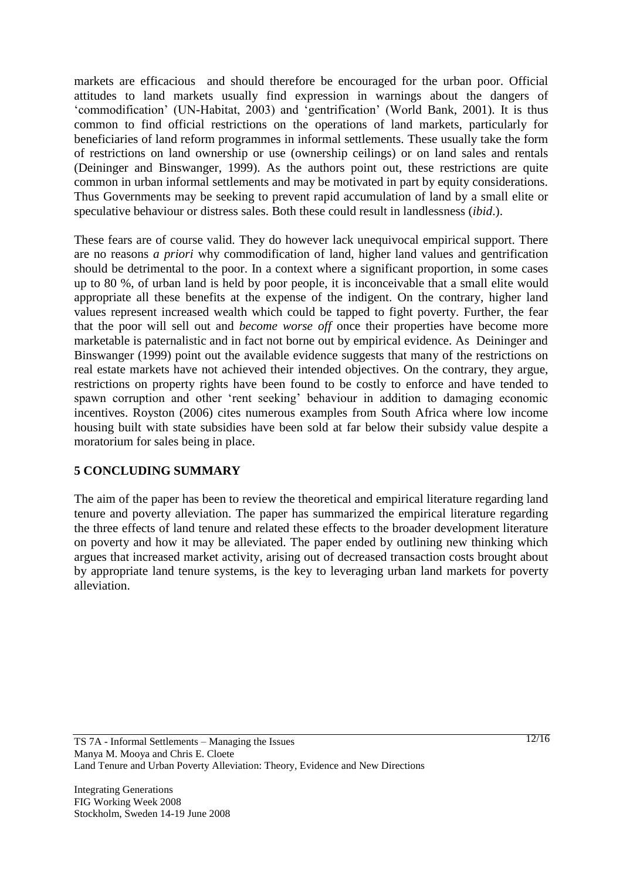markets are efficacious and should therefore be encouraged for the urban poor. Official attitudes to land markets usually find expression in warnings about the dangers of "commodification" (UN-Habitat, 2003) and "gentrification" (World Bank, 2001). It is thus common to find official restrictions on the operations of land markets, particularly for beneficiaries of land reform programmes in informal settlements. These usually take the form of restrictions on land ownership or use (ownership ceilings) or on land sales and rentals (Deininger and Binswanger, 1999). As the authors point out, these restrictions are quite common in urban informal settlements and may be motivated in part by equity considerations. Thus Governments may be seeking to prevent rapid accumulation of land by a small elite or speculative behaviour or distress sales. Both these could result in landlessness (*ibid*.).

These fears are of course valid. They do however lack unequivocal empirical support. There are no reasons *a priori* why commodification of land, higher land values and gentrification should be detrimental to the poor. In a context where a significant proportion, in some cases up to 80 %, of urban land is held by poor people, it is inconceivable that a small elite would appropriate all these benefits at the expense of the indigent. On the contrary, higher land values represent increased wealth which could be tapped to fight poverty. Further, the fear that the poor will sell out and *become worse off* once their properties have become more marketable is paternalistic and in fact not borne out by empirical evidence. As Deininger and Binswanger (1999) point out the available evidence suggests that many of the restrictions on real estate markets have not achieved their intended objectives. On the contrary, they argue, restrictions on property rights have been found to be costly to enforce and have tended to spawn corruption and other "rent seeking" behaviour in addition to damaging economic incentives. Royston (2006) cites numerous examples from South Africa where low income housing built with state subsidies have been sold at far below their subsidy value despite a moratorium for sales being in place.

# **5 CONCLUDING SUMMARY**

The aim of the paper has been to review the theoretical and empirical literature regarding land tenure and poverty alleviation. The paper has summarized the empirical literature regarding the three effects of land tenure and related these effects to the broader development literature on poverty and how it may be alleviated. The paper ended by outlining new thinking which argues that increased market activity, arising out of decreased transaction costs brought about by appropriate land tenure systems, is the key to leveraging urban land markets for poverty alleviation.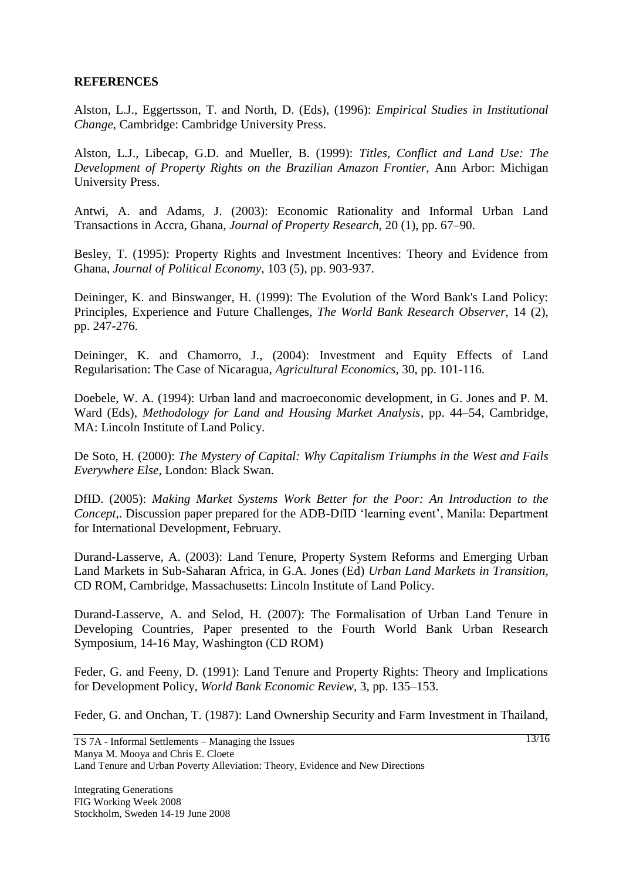#### **REFERENCES**

Alston, L.J., Eggertsson, T. and North, D. (Eds), (1996): *Empirical Studies in Institutional Change,* Cambridge: Cambridge University Press.

Alston, L.J., Libecap, G.D. and Mueller, B. (1999): *Titles, Conflict and Land Use: The Development of Property Rights on the Brazilian Amazon Frontier,* Ann Arbor: Michigan University Press.

Antwi, A. and Adams, J. (2003): Economic Rationality and Informal Urban Land Transactions in Accra, Ghana, *Journal of Property Research,* 20 (1), pp. 67–90.

Besley, T. (1995): Property Rights and Investment Incentives: Theory and Evidence from Ghana, *Journal of Political Economy*, 103 (5), pp. 903-937.

Deininger, K. and Binswanger, H. (1999): The Evolution of the Word Bank's Land Policy: Principles, Experience and Future Challenges, *The World Bank Research Observer,* 14 (2), pp. 247-276.

Deininger, K. and Chamorro, J., (2004): Investment and Equity Effects of Land Regularisation: The Case of Nicaragua, *Agricultural Economics*, 30, pp. 101-116.

Doebele, W. A. (1994): Urban land and macroeconomic development, in G. Jones and P. M. Ward (Eds), *Methodology for Land and Housing Market Analysis*, pp. 44–54, Cambridge, MA: Lincoln Institute of Land Policy.

De Soto, H. (2000): *The Mystery of Capital: Why Capitalism Triumphs in the West and Fails Everywhere Else,* London: Black Swan.

DfID. (2005): *Making Market Systems Work Better for the Poor: An Introduction to the Concept,*. Discussion paper prepared for the ADB-DfID "learning event", Manila: Department for International Development, February.

Durand-Lasserve, A. (2003): Land Tenure, Property System Reforms and Emerging Urban Land Markets in Sub-Saharan Africa, in G.A. Jones (Ed) *Urban Land Markets in Transition,*  CD ROM, Cambridge, Massachusetts: Lincoln Institute of Land Policy.

Durand-Lasserve, A. and Selod, H. (2007): The Formalisation of Urban Land Tenure in Developing Countries, Paper presented to the Fourth World Bank Urban Research Symposium, 14-16 May, Washington (CD ROM)

Feder, G. and Feeny, D. (1991): Land Tenure and Property Rights: Theory and Implications for Development Policy, *World Bank Economic Review,* 3, pp. 135–153.

Feder, G. and Onchan, T. (1987): Land Ownership Security and Farm Investment in Thailand,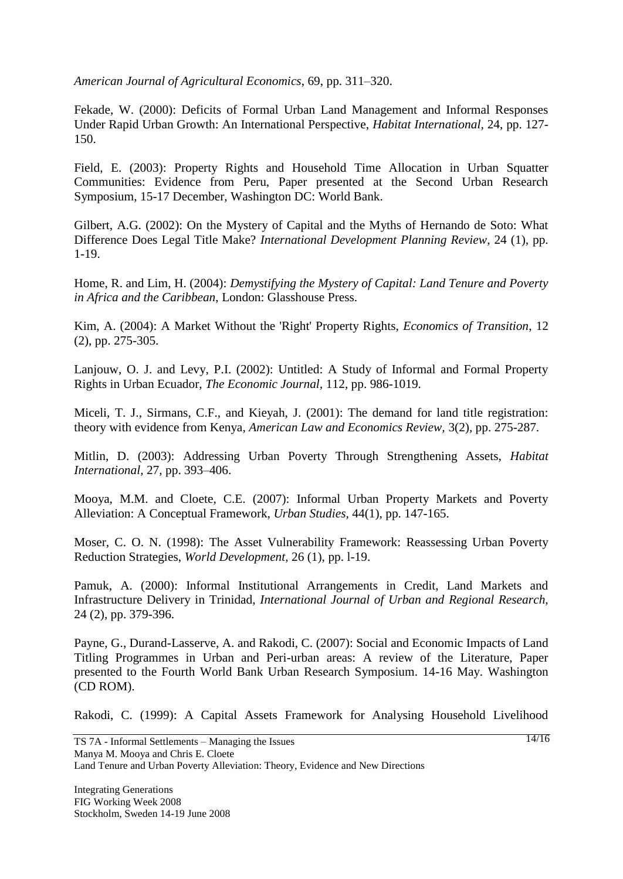*American Journal of Agricultural Economics*, 69, pp. 311–320.

Fekade, W. (2000): Deficits of Formal Urban Land Management and Informal Responses Under Rapid Urban Growth: An International Perspective, *Habitat International,* 24, pp. 127- 150.

Field, E. (2003): Property Rights and Household Time Allocation in Urban Squatter Communities: Evidence from Peru, Paper presented at the Second Urban Research Symposium, 15-17 December, Washington DC: World Bank.

Gilbert, A.G. (2002): On the Mystery of Capital and the Myths of Hernando de Soto: What Difference Does Legal Title Make? *International Development Planning Review*, 24 (1), pp. 1-19.

Home, R. and Lim, H. (2004): *Demystifying the Mystery of Capital: Land Tenure and Poverty in Africa and the Caribbean*, London: Glasshouse Press.

Kim, A. (2004): A Market Without the 'Right' Property Rights, *Economics of Transition*, 12 (2), pp. 275-305.

Lanjouw, O. J. and Levy, P.I. (2002): Untitled: A Study of Informal and Formal Property Rights in Urban Ecuador, *The Economic Journal,* 112, pp. 986-1019.

Miceli, T. J., Sirmans, C.F., and Kieyah, J. (2001): The demand for land title registration: theory with evidence from Kenya, *American Law and Economics Review,* 3(2), pp. 275-287.

Mitlin, D. (2003): Addressing Urban Poverty Through Strengthening Assets, *Habitat International,* 27, pp. 393–406.

Mooya, M.M. and Cloete, C.E. (2007): Informal Urban Property Markets and Poverty Alleviation: A Conceptual Framework, *Urban Studies,* 44(1), pp. 147-165.

Moser, C. O. N. (1998): The Asset Vulnerability Framework: Reassessing Urban Poverty Reduction Strategies, *World Development,* 26 (1), pp. l-19.

Pamuk, A. (2000): Informal Institutional Arrangements in Credit, Land Markets and Infrastructure Delivery in Trinidad, *International Journal of Urban and Regional Research,* 24 (2), pp. 379-396.

Payne, G., Durand-Lasserve, A. and Rakodi, C. (2007): Social and Economic Impacts of Land Titling Programmes in Urban and Peri-urban areas: A review of the Literature, Paper presented to the Fourth World Bank Urban Research Symposium. 14-16 May. Washington (CD ROM).

Rakodi, C. (1999): A Capital Assets Framework for Analysing Household Livelihood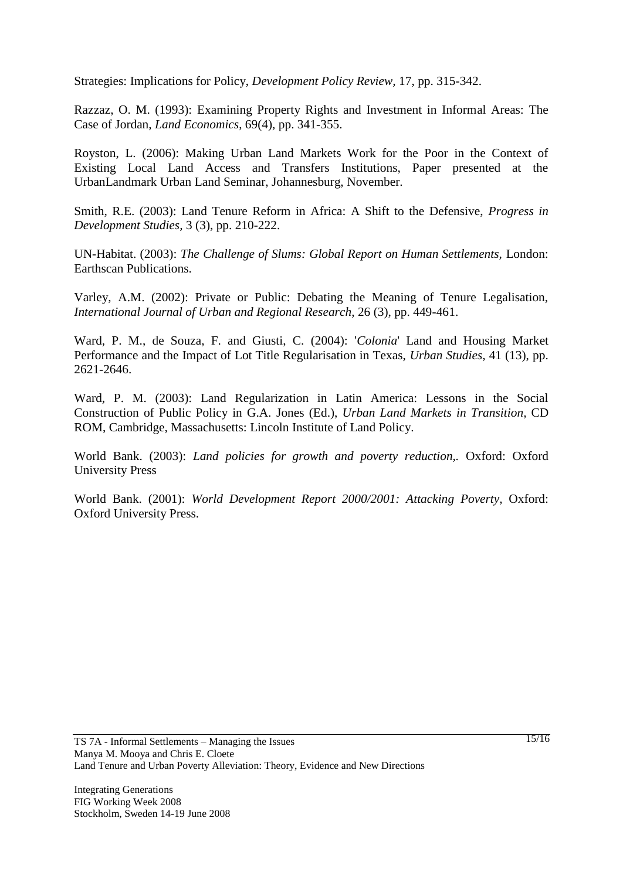Strategies: Implications for Policy, *Development Policy Review,* 17, pp. 315-342.

Razzaz, O. M. (1993): Examining Property Rights and Investment in Informal Areas: The Case of Jordan, *Land Economics*, 69(4), pp. 341-355.

Royston, L. (2006): Making Urban Land Markets Work for the Poor in the Context of Existing Local Land Access and Transfers Institutions, Paper presented at the UrbanLandmark Urban Land Seminar, Johannesburg, November.

Smith, R.E. (2003): Land Tenure Reform in Africa: A Shift to the Defensive, *Progress in Development Studies,* 3 (3), pp. 210-222.

UN-Habitat. (2003): *The Challenge of Slums: Global Report on Human Settlements,* London: Earthscan Publications.

Varley, A.M. (2002): Private or Public: Debating the Meaning of Tenure Legalisation, *International Journal of Urban and Regional Research*, 26 (3), pp. 449-461.

Ward, P. M., de Souza, F. and Giusti, C. (2004): '*Colonia*' Land and Housing Market Performance and the Impact of Lot Title Regularisation in Texas, *Urban Studies*, 41 (13), pp. 2621-2646.

Ward, P. M. (2003): Land Regularization in Latin America: Lessons in the Social Construction of Public Policy in G.A. Jones (Ed.), *Urban Land Markets in Transition,* CD ROM, Cambridge, Massachusetts: Lincoln Institute of Land Policy.

World Bank. (2003): *Land policies for growth and poverty reduction,.* Oxford: Oxford University Press

World Bank. (2001): *World Development Report 2000/2001: Attacking Poverty,* Oxford: Oxford University Press.